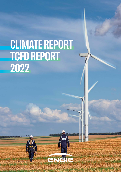# **CLIMATE REPORT TCFD REPORT 2022**

te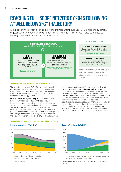## **REACHING FULL-SCOPE NET ZERO BY 2045 FOLLOWING A "WELL BELOW 2°C" TRAJECTORY**

ENGIE is aiming to offset all of its direct and indirect Greenhouse Gas (GHG) emissions by carbon sequestration, in order to achieve carbon neutrality by 2045. The Group is also committed to helping its customers reduce or avoid emissions.



#### **OFF-BALANCE-SHEET**

**CUSTOMER DECARBONIZATION** Reducing customers' GHG emissions through ENGIE's products and services **Emissions avoided or reduced**

#### **BIOGENIC CO<sub>2</sub> EMISSIONS**

Carbon contained in agricultural or forestry biomass, emitted during its combustion or degradation.

Definition of "biogenic emissions": Biogenic carbon is carbon contained in agricultural or forestry biomass, emitted during its combustion or degradation, as well as carbon in soil organic matter. CO<sub>2</sub> molecules come from two different types of sources, biogenic or fossil, but behave the same in the atmosphere.

#### **Scenarios as a tool for projecting possible futures**

The trajectory chosen by ENGIE focuses on a balanced mix, in which renewable gas and CCUS (Carbon Capture, Utilization and Storage) solutions all have their benefits, in order to guarantee the best levels of efficiency and resilience of the energy system.

Studies carried out by the Group at the European level have shown that large-scale electrification would lead to additional costs of more than €10 billion per year by 2050 and increased vulnerability of the electricity system. The fact that we are depriving ourselves of the proven potential of various energy vectors, including renewable gas, decarbonization solutions such as CCS (Carbon Capture and Storage) and the use of existing networks, increases the problem of managing the electricity peak and matching

**Scenario based on the 'greening' of natural gas in France**

energy supply and demand. The Group also believes that the use of a wider range of decarbonization options puts players in the energy system in a better position to benefit from technological advances and meet the **needs of flexibility** inherent in the energy market. It also reduces the economic and political pressure on electricity infrastructure (new lines to be built, acceptability of decarbonized production assets, whether it is wind, solar or nuclear). On the basis of these studies and the development of a renewable gas sector, the Group has outlined internal scenarios for the decarbonization of the European energy system which have led it to the opinions described below.





Residual supply after exports to other countries to meet domestic demand.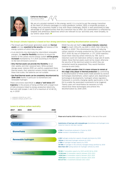

Catherine MacGregor, Chief Executive Officer

We are at a pivotal moment in the energy world. It is crucial to put the energy transition at the heart of stimulus packages in a post-pandemic context. With a corporate purpose, a strategy and a business model in line with these challenges, ENGIE is well-positioned to take advantage of all opportunities that this transition has to offer. Our commitment is reflected by tangible and ambitious objectives which are relevant to our activities and, more broadly, to our entire value chain. "

#### **The Group's climate trajectory is based on four strong convictions regarding decarbonization scenarios:**

- The Group's gas-fired power generation assets (or thermal assets) are now essential to the security and balance of the energy systems of which they are part.
- In an electricity mix dominated by intermittent renewable energies, the need for flexibility solutions to ensure the balance of the carbon-neutral energy system will be greatly increased (multiplied by 4 in 2035 according to the IEA in its Net Zero Emissions scenario ).
- Only thermal assets can provide this flexibility on an inter-weekly and inter-seasonal basis. While pumped storage power stations (PSP) can usefully supplement these thermal assets, their potential remains limited. Moreover, at these time scales, the batteries are not suitable.
- Gas-fired thermal assets can be completely decarbonized by 2040-2045 thanks in particular to biomethane and renewable hydrogen.

These convictions lead ENGIE to adopt a "well-below 2°C" trajectory in the process of being certified with a target level of GHG emissions linked to energy production (electricity, heat and cold) (scopes 1 and 3) of a maximum of 43 Mt  $CO<sub>2</sub>$ eq. in 20301.

ENGIE has also set itself a new carbon intensity reduction target to reach 230 g CO<sub>2</sub> eq./kWh in 2025, then 158 g CO<sub>2</sub> eq./kWh in 20302. This commitment consists of reducing carbon intensity of energy production by 55% over the period 2017-2030. By way of comparison, a 1.5°C 2030 trajectory would mean reducing carbon intensity by 78%. Such a reduction could not materialize without a large sale of assets. Indeed, these thermal assets could not be closed, otherwise the security of the electrical system to which they are connected would be jeopardized. They would therefore continue to emit GHGs.

Thus ENGIE considers that it is more virtuous to remain at this stage a key player in thermal production by committing to decarbonization of these assets made possible by several technologies (biomethane, carbon capture and, depending on technological developments, hydrogen) whose regulatory framework is currently changing rapidly (particularly in the EU) to enable the associated investments to be triggered. Twenty years will nevertheless be necessary to fully industrialize these technologies and achieve this decarbonization by 2040-2045.

1 - compared to 106 Mt CO<sub>2</sub> eq. in 2017 2 - compared to 348 gCO<sub>2</sub> eq./kWh in 2017

#### **Levers to achieve carbon neutrality**

| 2030<br>2021<br>2017         | 2045                                                                                                                                                                                                                                                                                                                       |
|------------------------------|----------------------------------------------------------------------------------------------------------------------------------------------------------------------------------------------------------------------------------------------------------------------------------------------------------------------------|
| Coal                         | <b>Phase-out of coal by 2025 in Europe</b> and by 2027 in the rest of the world                                                                                                                                                                                                                                            |
| <b>Fossil gas</b>            | Substitution of fossil gas with renewable gas (biomethane and hydrogen) once<br>industrial maturity has been reached                                                                                                                                                                                                       |
| <b>Biomethane</b>            | 4 TWh of biomethane produced in France by 2030<br>€2 bn invested in biomethane by 2030                                                                                                                                                                                                                                     |
| <b>Renewable hydrogen</b>    | 4 GW hydrogen production capacity through electrolysis by 2030<br>700 km of dedicated hydrogen networks by 2030<br><b>1 TWh</b> of hydrogen storage capacity by 2030<br><b>30 TWh</b> of hydrogen in the centrally-managed energy portfolio by 2030<br><b>More than 100</b> fueling stations for hydrogen vehicles by 2030 |
| <b>Renewable electricity</b> | 50 GW of renewables capacity by 2025 and 80 GW by 2030<br>+3 GW/year of renewables capacity between 2019-2021<br>+4GW/year of renewables capacity between 2022-2025<br>+6GW/year of renewables capacity between 2026-2030<br>€6 to €7 bn in investments between 2021-2023                                                  |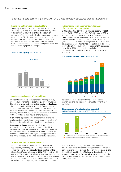To achieve its zero-carbon target by 2045, ENGIE uses a strategy structured around several pillars.

#### **A complete exit from coal in the short term**

The Group is aiming for a complete exit from coal in Europe by 2025 and in the rest of the world by 2027. In this context, ENGIE will prioritize the closure or conversion of its plants and will take into account the social consequences of its decisions on employees and local communities to ensure a just transition. In 2021, ENGIE completed the disposal of the Jorge Lacerda complex in Brazil, which includes a 0.7 GW coal-fired power plant, and shut down the Tejo plant in Portugal.

#### **Change in coal capacity** (GW (@100%)) **and 2025.** and 2025.



#### **Long-term development of renewable gas**

In order to achieve its 100% renewable gas objective by 2045, ENGIE intends to decarbonize gas gradually, using biomethane, green hydrogen and CO<sub>2</sub> capture technologies. These technologies will have to benefit from the public support required to become competitive. The development of renewable gas will support that of renewable electricity capacity, intermittent by nature, and optimize investments with a view to a carbon-neutral energy system.

**Biomethane** is part of a circular economy: it allows the deployment of decentralized solutions and the creation of local jobs. It may be injected into all existing networks.

Renewable hydrogen produced by electrolysis from renewable energy will be key to decarbonizing hightemperature industrial processes and transport. The sector should move from local production to a European market benefiting from the repurposing of existing gas networks. Scaling up will require the establishment of partnerships,

#### **Customer and supplier decarbonization**

ENGIE is committed to supporting its 250 preferred suppliers and, ultimately, its 1,350 major suppliers to ensure their targets are aligned with or certified by the Science Based Target Initiative by 2030. This objective will represent 20% of total expenditure, with a view to achieving 80%. At the same time, the Group is involved in international working groups such as the WBCSD (World Business Council for Sustainable development) and the Net Zero Initiative,

#### **In the medium term, significant development of renewable energy production**

ENGIE is targeting 80 GW of renewables capacity by 2030 and 50 GW by 2025 (versus 34.4 GW at the end of 2021). This will allow the Group to reach 58% of renewables capacity in its energy production by 2030, with targets for commissioning solar and wind power capacity at 4 GW per year in 2022-2025 and 6 GW per year in 2026-2030. This development is expected to mobilize €6 billion to €7 billion in investment in 2021-2023, an increase of 20% compared to the 2018-2020 period, and the capital used for renewables activities is expected to double between 2019

#### **Change in renewables capacity** (GW (@100%))



development of the sector with the need for market mechanisms and the mobilization of public authorities in particular.

#### **Biogas: number of production sites connected to ENGIE networks in France** (GRDF/GRTgaz - cumulative)



Production of biogas injected into ENGIE networks in France (TWh)

which has enabled it, together with peers and NGOs, to create a new indicator for measuring the decarbonization of companies and public players. Based on this indicator, ENGIE has set itself an objective of helping to decarbonize its customers by 45 Mt of CO<sub>2</sub> equivalent by 2030. In 2021, the Group's contribution to customer decarbonization was 28 Mt of CO<sub>2</sub> equivalent.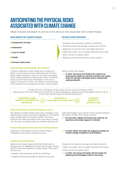### **ANTICIPATING THE PHYSICAL RISKS ASSOCIATED WITH CLIMATE CHANGE**

ENGIE analyzes and adapts its activity to the physical risks associated with climate change.

#### **MAIN IMPACTS OF CLIMATE CHANGE**

- **n** Temperature increase
- **n** Heatwaves
- **n** Lack of rainfall
- **n** Floods
- $\blacksquare$  Extreme wind events

#### **Understanding climate change and its impacts**

To better understand climate change and its impacts on ENGIE, a partnership has been established with the Pierre Simon Laplace Institute to model, as accurately as possible, future energy production trends and the impact of extreme events on all of the Group's technologies in the various regions of the world. In 2021, the impact of climate change on the evolution of the production of solar, wind and hydro-

#### **PHYSICAL RISKS FOR ENGIE**

- Changes to the production profile of installations.
- Production losses and damage to assets and activities.
- Reduction of insurance cover and higher premiums.
- Health and safety risks for people working for the Group.
- Risks incurred via supply chains.
- Resilience of territories and their energy systems.

electric energy was mapped.

>>> In 2022, the Group will finalize this analysis by studying the impact on thermal activities, the supply chain for biomass and biogas and on heating and cooling networks.

To determine the vulnerability of each Group site and activity to extreme events, ENGIE uses an index that measures the sensitivity of each technology to exposure to extreme weather events. A list of priority sites was thus able to be defined during 2021.

**Vulnerability index specific to each ENGIE site and activity Geographic exposure to extreme events Sensitivity of = technology to extreme events x**

#### **Studying the impact of climate change by country**

The impact of climate change on the Group's strategy is also studied using a country-by-country approach or by studying major climate regions of interest to ENGIE. The Group examines the impact according to four main factors: country risk, the value of existing assets, the strategic objectives for

#### **Incorporating physical risks into the investment process**

Adaptation to the physical risks of climate change is embedded in the Group's investment process.

#### **Adapting sites and activities**

Based on the climate impacts identified, ENGIE aims to develop plans for adapting all its sites and activities, starting with the sites most exposed to climate change. These plans will focus on:

- Changes to the production profile of installations.
- Production losses and damage to assets and activities.

2030 and strategic issues specific to the countries studied in the context of three IPCC climate scenarios.

- >>> By mid-2022, ENGIE will finalize the study for all countries and climate regions of interest.
- >>> In 2022, ENGIE will make the mapping available on climate change available to its developers.
- Reduction of insurance coverage and higher premiums.
- Health and safety risks for people working for the Group.
- Risks incurred via supply chains.
- >>> In 2022, the Group will deploy the first plans for adapting all technologies used by the Group.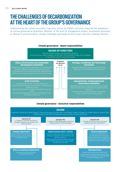## **THE CHALLENGES OF DECARBONIZATION AT THE HEART OF THE GROUP'S GOVERNANCE**

Implementing the carbon-neutrality trajectory across all ENGIE's activities required the adaptation of various governance processes. Whether at the level of management bodies, investment processes or Research and Innovation, climate challenges permeate all the Group's decision-making channels.

#### **Climate governance – Board responsibilities**



### **Climate governance – Executive responsibilities**

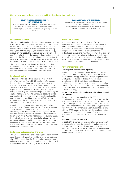#### **Management supervision as close as possible to decarbonization challenges**

#### **GOVERNANCE PROCESS DEDICATED TO NEW INVESTMENTS**

Ensuring the Group's medium-term financial plan is consistent with the its GHG emission reduction trajectory until 2030 Monitoring of GHG emissions at the Group's quarterly business reviews

#### **Compensation policies**

The compensation policies for senior managers and the Chief Executive Officer incorporate criteria related to the Group's climate objectives. The Chief Executive Officer's variable compensation is therefore partly dependent on meeting the objective of reducing CO<sub>2</sub> emissions related to energy production. For 2022, this objective represents 7.5% of the non-financial criteria of the annual variable portion and 10% of all criteria of the long-term variable incentive portion, the latter also comprising, at 5%, the objective of increasing the share of renewables in the Group's electricity mix capacities.

These two objectives also impact the long-term variable incentive portion of all the Group's executives and, more generally, the 7,000 beneficiaries of performance shares, in the same proportions as the Chief Executive Officer.

#### **Employee training**

Achieving climate objectives requires a high level of skill of current and future ENGIE employees. To support this transition, the Group has set up a comprehensive training course on the challenges of decarbonization: the Sustainability Academy. Through three in-house programs: Explorers, Front Runners and Masters, the academy is designed to clarify the Group's strategy, give it meaning and explore its business impacts. E-modules, podcasts, climate and biodiversity murals, challenges around sustainability and the learning expedition on carbon offsetting, many components of the training program were deployed in 2021 and will continue to be deployed in 2022.

In addition, the Group provides its teams with various training courses, from the general level (Energy Revolution towards Decarbonization, Sustainability with my customers) to the most specific (30 training modules on the solar sector). Furthermore, the first "100% Renewable Energies"Graduate Program was launched in summer 2020. It aims to attract young high-potential graduates who are passionate about renewable energy and provide them, at the beginning of their careers, with a cross-functional vision of the range of solutions offered by the Group and teach them how to work together within ENGIE.

#### **Sustainable and responsible financing**

The Group is one of the world's leading corporate issuers of green bonds with more than €14 bn of green bonds issued since 2014. In addition, the Group has incorporated margin adjustment mechanisms in its syndicated credit lines linked to compliance with annual  $CO<sub>2</sub>$  performance indicators.

#### **CLOSE MONITORING OF GHG EMISSIONS**

Ensuring each investment is consistent with the Group's GHG emission reduction trajectory

Taking into account carbon prices in investment decisions and long-term forecasts of energy prices

#### **Research & Innovation**

In addition to the skills acquired by all of the Group's employees, more than 500 employees from around the world contribute specifically to research and innovation in the areas of operational performance, technology integration, new solutions in strategic areas and technological disruptions. They focus their work as a priority on the zero-carbon transition, with large-scale solar power (especially bifacial), the decarbonization of urban heating and cooling networks, the large-scale underground storage of hydrogen and the liquefaction of hydrogen.

#### **Performance monitoring**

#### Climate performance tracked regularly:

The Group aims to report on its performance via a halfyearly publication offering high visibility on the progress of its climate strategy objectives. Through its publications, ENGIE provides details of its objectives for reducing greenhouse gas (GHG) emissions related to energy production and those concerning increases in the installed capacity of renewable energy. The Group reports annually on all objectives that are relevant to the implementation of its climate strategy.

#### Performance measured according to the best international benchmarks:

The Group has been responding to the CDP Climat questionnaire for many years: in 2021, ENGIE was rated A-. In addition, ENGIE is committed to communicating its climate risks according to the recommendations of the Task Force on Climate-related Financial Disclosures (TCFD), particularly within this report. Furthermore, a correlation table in line with the SASB reporting standard will be available on the Group's website after the publication of the 2021 Universal Registration Document and the Group's 2022 Integrated Report.

#### Transparent lobbying practices:

In 2021, ENGIE carried out a review of its membership of professional and industrial associations and conducted a detailed evaluation of the alignment of these associations with the objectives of the Paris Agreement. The evaluation document is available on the Group's website. The evaluation will be reviewed annually.